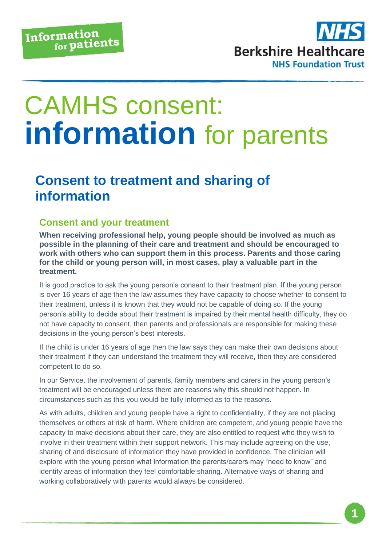

## CAMHS consent: **information** for parents

## **Consent to treatment and sharing of information**

## **Consent and your treatment**

**When receiving professional help, young people should be involved as much as possible in the planning of their care and treatment and should be encouraged to work with others who can support them in this process. Parents and those caring for the child or young person will, in most cases, play a valuable part in the treatment.** 

It is good practice to ask the young person's consent to their treatment plan. If the young person is over 16 years of age then the law assumes they have capacity to choose whether to consent to their treatment, unless it is known that they would not be capable of doing so. If the young person's ability to decide about their treatment is impaired by their mental health difficulty, they do not have capacity to consent, then parents and professionals are responsible for making these decisions in the young person's best interests.

If the child is under 16 years of age then the law says they can make their own decisions about their treatment if they can understand the treatment they will receive, then they are considered competent to do so.

In our Service, the involvement of parents, family members and carers in the young person's treatment will be encouraged unless there are reasons why this should not happen. In circumstances such as this you would be fully informed as to the reasons.

As with adults, children and young people have a right to confidentiality, if they are not placing themselves or others at risk of harm. Where children are competent, and young people have the capacity to make decisions about their care, they are also entitled to request who they wish to involve in their treatment within their support network. This may include agreeing on the use, sharing of and disclosure of information they have provided in confidence. The clinician will explore with the young person what information the parents/carers may "need to know" and identify areas of information they feel comfortable sharing. Alternative ways of sharing and working collaboratively with parents would always be considered.